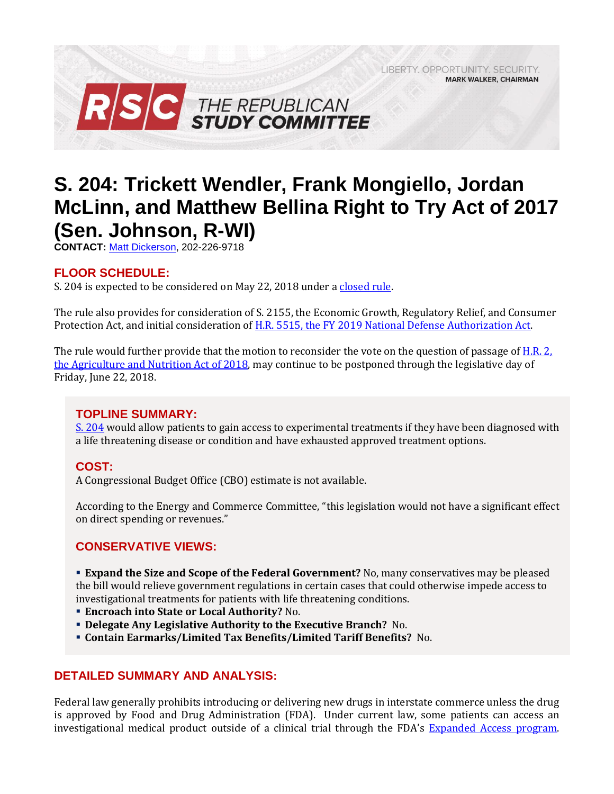RSC THE REPUBLICAN

# **S. 204: Trickett Wendler, Frank Mongiello, Jordan McLinn, and Matthew Bellina Right to Try Act of 2017 (Sen. Johnson, R-WI)**

LIBERTY, OPPORTUNITY, SECURITY,

**MARK WALKER, CHAIRMAN** 

**CONTACT:** [Matt Dickerson,](mailto:Matthew.Dickerson@mail.house.gov) 202-226-9718

### **FLOOR SCHEDULE:**

S. 204 is expected to be considered on May 22, 2018 under a [closed rule.](https://rules.house.gov/bill/115/s-204)

The rule also provides for consideration of S. 2155, the Economic Growth, Regulatory Relief, and Consumer Protection Act, and initial consideration o[f H.R. 5515, the FY 2019 National Defense Authorization Act.](https://gallery.mailchimp.com/d4254037a343b683d142111e0/files/6ac646b1-3f9d-4849-bfb6-99f44c1c0707/Legislative_Bulletin_H.R._5515_FY_2019_NDAA_May_22_2018.pdf) 

The rule would further provide that the motion to reconsider the vote on the question of passage of [H.R. 2,](https://gallery.mailchimp.com/d4254037a343b683d142111e0/files/b1149471-563e-446e-a9ec-e5d4118d4c52/Legislative_Bulletin_H.R._2_Farm_Bill_May_16_2018.pdf)  [the Agriculture and Nutrition Act of 2018,](https://gallery.mailchimp.com/d4254037a343b683d142111e0/files/b1149471-563e-446e-a9ec-e5d4118d4c52/Legislative_Bulletin_H.R._2_Farm_Bill_May_16_2018.pdf) may continue to be postponed through the legislative day of Friday, June 22, 2018.

#### **TOPLINE SUMMARY:**

[S. 204](https://www.gpo.gov/fdsys/pkg/BILLS-115s204rfh/pdf/BILLS-115s204rfh.pdf) would allow patients to gain access to experimental treatments if they have been diagnosed with a life threatening disease or condition and have exhausted approved treatment options.

#### **COST:**

A Congressional Budget Office (CBO) estimate is not available.

According to the Energy and Commerce Committee, "this legislation would not have a significant effect on direct spending or revenues."

#### **CONSERVATIVE VIEWS:**

 **Expand the Size and Scope of the Federal Government?** No, many conservatives may be pleased the bill would relieve government regulations in certain cases that could otherwise impede access to investigational treatments for patients with life threatening conditions.

- **Encroach into State or Local Authority?** No.
- **Delegate Any Legislative Authority to the Executive Branch?** No.
- **Contain Earmarks/Limited Tax Benefits/Limited Tariff Benefits?** No.

#### **DETAILED SUMMARY AND ANALYSIS:**

Federal law generally prohibits introducing or delivering new drugs in interstate commerce unless the drug is approved by Food and Drug Administration (FDA). Under current law, some patients can access an investigational medical product outside of a clinical trial through the FDA's [Expanded Access program.](https://www.fda.gov/NewsEvents/PublicHealthFocus/ExpandedAccessCompassionateUse/default.htm)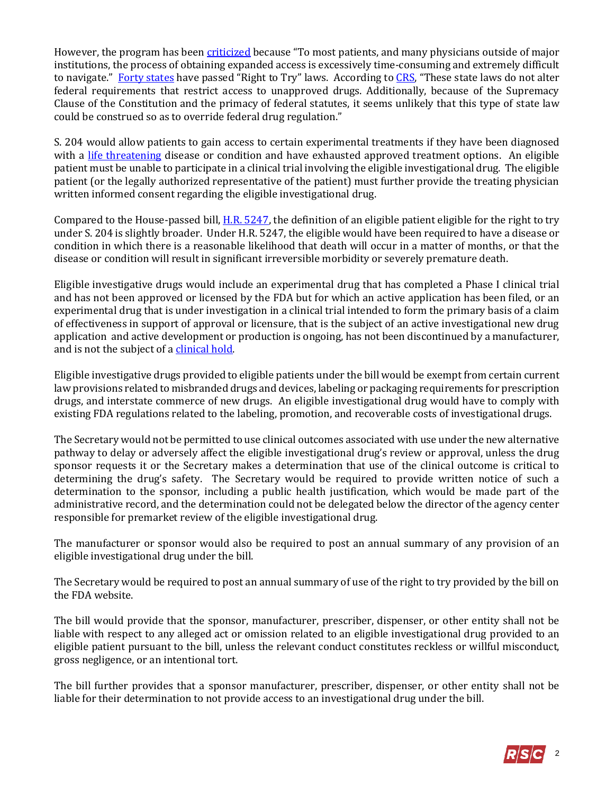However, the program has been [criticized](https://goldwaterinstitute.org/wp-content/uploads/cms_page_media/2015/1/28/Right%20To%20Try.pdf#page=10) because "To most patients, and many physicians outside of major institutions, the process of obtaining expanded access is excessively time-consuming and extremely difficult to navigate." [Forty states](http://righttotry.org/in-your-state/) have passed "Right to Try" laws. According to [CRS](http://www.crs.gov/Reports/LSB10115), "These state laws do not alter federal requirements that restrict access to unapproved drugs. Additionally, because of the Supremacy Clause of the Constitution and the primacy of federal statutes, it seems unlikely that this type of state law could be construed so as to override federal drug regulation."

S. 204 would allow patients to gain access to certain experimental treatments if they have been diagnosed with a [life threatening](https://www.gpo.gov/fdsys/pkg/CFR-2009-title21-vol5/pdf/CFR-2009-title21-vol5-sec312-81.pdf) disease or condition and have exhausted approved treatment options. An eligible patient must be unable to participate in a clinical trial involving the eligible investigational drug. The eligible patient (or the legally authorized representative of the patient) must further provide the treating physician written informed consent regarding the eligible investigational drug.

Compared to the House-passed bill[, H.R. 5247,](https://gallery.mailchimp.com/d4254037a343b683d142111e0/files/7888489a-0fde-4194-8554-ef53435da530/2018_03_20_HR_5247_1_.pdf) the definition of an eligible patient eligible for the right to try under S. 204 is slightly broader. Under H.R. 5247, the eligible would have been required to have a disease or condition in which there is a reasonable likelihood that death will occur in a matter of months, or that the disease or condition will result in significant irreversible morbidity or severely premature death.

Eligible investigative drugs would include an experimental drug that has completed a Phase I clinical trial and has not been approved or licensed by the FDA but for which an active application has been filed, or an experimental drug that is under investigation in a clinical trial intended to form the primary basis of a claim of effectiveness in support of approval or licensure, that is the subject of an active investigational new drug application and active development or production is ongoing, has not been discontinued by a manufacturer, and is not the subject of [a clinical hold.](https://www.fda.gov/Drugs/DevelopmentApprovalProcess/HowDrugsareDevelopedandApproved/ApprovalApplications/InvestigationalNewDrugINDApplication/ucm362971.htm)

Eligible investigative drugs provided to eligible patients under the bill would be exempt from certain current law provisions related to misbranded drugs and devices, labeling or packaging requirements for prescription drugs, and interstate commerce of new drugs. An eligible investigational drug would have to comply with existing FDA regulations related to the labeling, promotion, and recoverable costs of investigational drugs.

The Secretary would not be permitted to use clinical outcomes associated with use under the new alternative pathway to delay or adversely affect the eligible investigational drug's review or approval, unless the drug sponsor requests it or the Secretary makes a determination that use of the clinical outcome is critical to determining the drug's safety. The Secretary would be required to provide written notice of such a determination to the sponsor, including a public health justification, which would be made part of the administrative record, and the determination could not be delegated below the director of the agency center responsible for premarket review of the eligible investigational drug.

The manufacturer or sponsor would also be required to post an annual summary of any provision of an eligible investigational drug under the bill.

The Secretary would be required to post an annual summary of use of the right to try provided by the bill on the FDA website.

The bill would provide that the sponsor, manufacturer, prescriber, dispenser, or other entity shall not be liable with respect to any alleged act or omission related to an eligible investigational drug provided to an eligible patient pursuant to the bill, unless the relevant conduct constitutes reckless or willful misconduct, gross negligence, or an intentional tort.

The bill further provides that a sponsor manufacturer, prescriber, dispenser, or other entity shall not be liable for their determination to not provide access to an investigational drug under the bill.

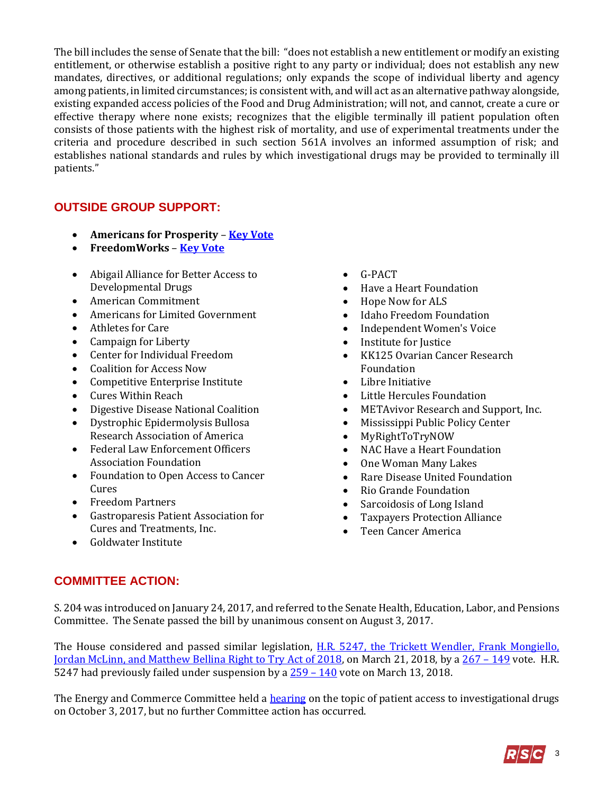The bill includes the sense of Senate that the bill: "does not establish a new entitlement or modify an existing entitlement, or otherwise establish a positive right to any party or individual; does not establish any new mandates, directives, or additional regulations; only expands the scope of individual liberty and agency among patients, in limited circumstances; is consistent with, and will act as an alternative pathway alongside, existing expanded access policies of the Food and Drug Administration; will not, and cannot, create a cure or effective therapy where none exists; recognizes that the eligible terminally ill patient population often consists of those patients with the highest risk of mortality, and use of experimental treatments under the criteria and procedure described in such section 561A involves an informed assumption of risk; and establishes national standards and rules by which investigational drugs may be provided to terminally ill patients."

## **OUTSIDE GROUP SUPPORT:**

- **Americans for Prosperity [Key Vote](http://afpscorecard.org/#singleAlert)**
- **FreedomWorks [Key Vote](http://www.freedomworks.org/content/key-vote-yes-trickett-wendler-frank-mongiello-jordan-mclinn-and-matthew-bellina-right-try-0)**
- Abigail Alliance for Better Access to Developmental Drugs
- American Commitment
- Americans for Limited Government
- Athletes for Care
- Campaign for Liberty
- Center for Individual Freedom
- Coalition for Access Now
- Competitive Enterprise Institute
- Cures Within Reach
- Digestive Disease National Coalition
- Dystrophic Epidermolysis Bullosa Research Association of America
- Federal Law Enforcement Officers Association Foundation
- Foundation to Open Access to Cancer Cures
- Freedom Partners
- Gastroparesis Patient Association for Cures and Treatments, Inc.
- Goldwater Institute
- G-PACT
- Have a Heart Foundation
- Hope Now for ALS
- Idaho Freedom Foundation
- Independent Women's Voice
- Institute for Justice
- KK125 Ovarian Cancer Research Foundation
- Libre Initiative
- Little Hercules Foundation
- METAvivor Research and Support, Inc.
- Mississippi Public Policy Center
- MyRightToTryNOW
- NAC Have a Heart Foundation
- One Woman Many Lakes
- Rare Disease United Foundation
- Rio Grande Foundation
- Sarcoidosis of Long Island
- Taxpayers Protection Alliance
- Teen Cancer America

#### **COMMITTEE ACTION:**

S. 204 was introduced on January 24, 2017, and referred to the Senate Health, Education, Labor, and Pensions Committee. The Senate passed the bill by unanimous consent on August 3, 2017.

The House considered and passed similar legislation, H.R. 5247, the Trickett Wendler, Frank Mongiello, [Jordan McLinn, and Matthew Bellina Right to Try Act of 2018,](https://gallery.mailchimp.com/d4254037a343b683d142111e0/files/7888489a-0fde-4194-8554-ef53435da530/2018_03_20_HR_5247_1_.pdf) on March 21, 2018, by a [267](http://clerk.house.gov/evs/2018/roll121.xml) – 149 vote. H.R. 5247 had previously failed under suspension by a  $259 - 140$  vote on March 13, 2018.

The Energy and Commerce Committee held a [hearing](https://energycommerce.house.gov/hearings/examining-patient-access-investigational-drugs/) on the topic of patient access to investigational drugs on October 3, 2017, but no further Committee action has occurred.